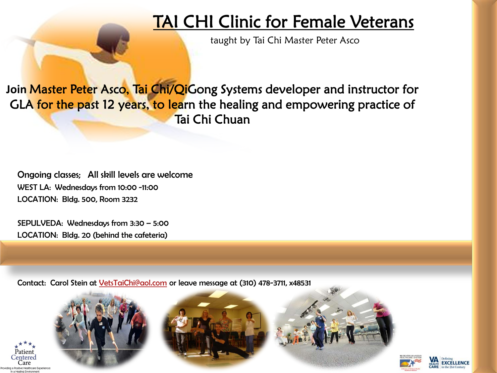## TAI CHI Clinic for Female Veterans

taught by Tai Chi Master Peter Asco

Join Master Peter Asco, Tai Chi/QiGong Systems developer and instructor for GLA for the past 12 years, to learn the healing and empowering practice of Tai Chi Chuan

Ongoing classes; All skill levels are welcome WEST LA: Wednesdays from 10:00 -11:00 LOCATION: Bldg. 500, Room 3232

SEPULVEDA: Wednesdays from 3:30 – 5:00 LOCATION: Bldg. 20 (behind the cafeteria)

Contact: Carol Stein at [VetsTaiChi@aol.com](mailto:VetsTaiChi@aol.com) or leave message at (310) 478-3711, x48531







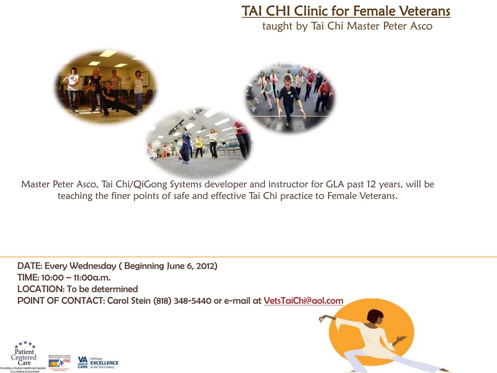## TAI CHI Clinic for Female Veterans

taught by Tai Chi Master Peter Asco



Master Peter Asco, Tai Chi/QiGong Systems developer and instructor for GLA past 12 years, will be teaching the finer points of safe and effective Tai Chi practice to Female Veterans.

DATE: Every Wednesday ( Beginning June 6, 2012) TIME: 10:00 – 11:00a.m. LOCATION: To be determined POINT OF CONTACT: Carol Stein (818) 348-5440 or e-mail at [VetsTaiChi@aol.com](mailto:VetsTaiChi@aol.com)



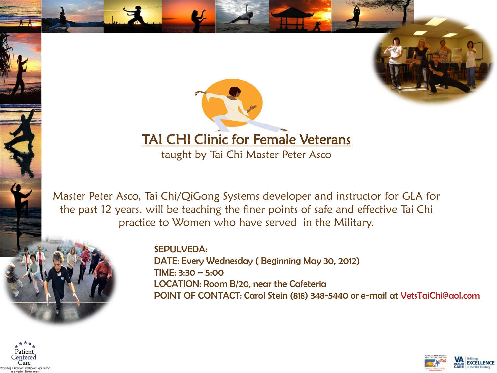

## TAI CHI Clinic for Female Veterans

taught by Tai Chi Master Peter Asco

Master Peter Asco, Tai Chi/QiGong Systems developer and instructor for GLA for the past 12 years, will be teaching the finer points of safe and effective Tai Chi practice to Women who have served in the Military.



SEPULVEDA: DATE: Every Wednesday ( Beginning May 30, 2012) TIME: 3:30 – 5:00 LOCATION: Room B/20, near the Cafeteria POINT OF CONTACT: Carol Stein (818) 348-5440 or e-mail at [VetsTaiChi@aol.com](mailto:VetsTaiChi@aol.com)